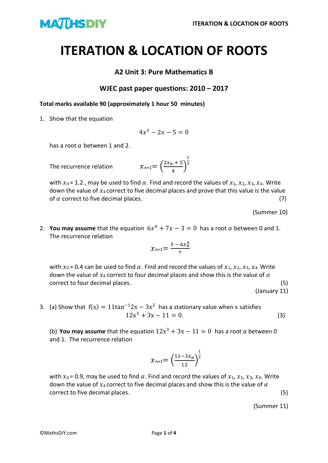

## **ITERATION & LOCATION OF ROOTS**

## **A2 Unit 3: Pure Mathematics B**

## **WJEC past paper questions: 2010 – 2017**

**Total marks available 90 (approximately 1 hour 50 minutes)**

1. Show that the equation

$$
4x^3-2x-5=0
$$

has a root  $\alpha$  between 1 and 2.

The recurrence relation 
$$
x_{n+1} = \left(\frac{2x_n + 5}{4}\right)
$$

with  $x_0$  = 1.2, may be used to find  $\alpha$ . Find and record the values of  $x_1, x_2, x_3, x_4$ . Write down the value of  $x_4$  correct to five decimal places and prove that this value is the value of  $\alpha$  correct to five decimal places. (7)

1 3

(Summer 10)

2. **You may assume** that the equation  $6x^4 + 7x - 3 = 0$  has a root  $\alpha$  between 0 and 1. The recurrence relation

$$
x_{n+1} = \frac{3 - 6x_0^4}{7}
$$

with  $x_0$  = 0.4 can be used to find  $\alpha$ . Find and record the values of  $x_1, x_2, x_3, x_4$ . Write down the value of  $x_4$  correct to four decimal places and show this is the value of  $\alpha$ correct to four decimal places. (5)

(January 11)

3. (a) Show that  $f(x) = 11\tan^{-1}2x - 3x^2$  has a stationary value when x satisfies 12x  $12x^3 + 3x - 11 = 0.$  (3)

(b) **You may assume** that the equation  $12x^3 + 3x - 11 = 0$  has a root  $\alpha$  between 0 and 1. The recurrence relation

$$
\chi_{n+1} = \left(\frac{11 - 3x_n}{12}\right)^{\frac{1}{3}}
$$

with  $x_0$  = 0.9, may be used to find  $\alpha$ . Find and record the values of  $x_1, x_2, x_3, x_4$ . Write down the value of  $x_4$  correct to five decimal places and show this is the value of  $\alpha$ correct to five decimal places. (5)

(Summer 11)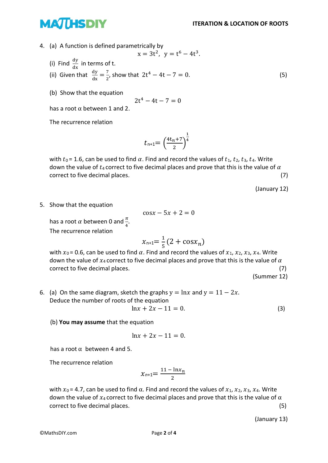## **MATHSDIY**

4. (a) A function is defined parametrically by

(i) Find 
$$
\frac{dy}{dx}
$$
 in terms of t.

(ii) Given that  $\frac{dy}{dx} = \frac{7}{2}$  $\frac{7}{2}$ , show that  $2t^4 - 4t - 7 = 0$ . (5)

 $x = 3t^2$ ,  $y = t^6 - 4t^3$ .

(b) Show that the equation

$$
2t^4-4t-7=0
$$

2th and 2th and 2th and 2th and 2th and 2th and 2th and 2th and 2th and 2th and 2th and 2th and 2th and 2th and 2th and 2th and 2th and 2th and 2th and 2th and 2th and 2th and 2th and 2th and 2th and 2th and 2th and 2th an has a root  $\alpha$  between 1 and 2.

The recurrence relation

$$
t_{n+1} = \left(\frac{4t_n + 7}{2}\right)^{\frac{1}{4}}
$$

with  $t_0$  = 1.6, can be used to find  $\alpha$ . Find and record the values of  $t_1$ ,  $t_2$ ,  $t_3$ ,  $t_4$ . Write down the value of  $t_4$  correct to five decimal places and prove that this is the value of  $\alpha$ correct to five decimal places. (7)

(January 12)

5. Show that the equation

$$
\cos x - 5x + 2 = 0
$$

has a root  $\alpha$  between 0 and  $\frac{\pi}{4}$ . The recurrence relation

$$
x_{n+1} = \frac{1}{5}(2 + \cos x_n)
$$

with  $x_0$  = 0.6, can be used to find  $\alpha$ . Find and record the values of  $x_1, x_2, x_3, x_4$ . Write down the value of  $x_4$  correct to five decimal places and prove that this is the value of  $\alpha$ correct to five decimal places. (7)

(Summer 12)

6. (a) On the same diagram, sketch the graphs  $y = \ln x$  and  $y = 11 - 2x$ . Deduce the number of roots of the equation

$$
\ln x + 2x - 11 = 0. \tag{3}
$$

(b) **You may assume** that the equation

$$
ln x + 2x - 11 = 0.
$$

has a root  $\alpha$  between 4 and 5.

The recurrence relation

$$
\chi_{n+1} = \frac{11 - \ln x_n}{2}
$$

with  $x_0$  = 4.7, can be used to find  $\alpha$ . Find and record the values of  $x_1, x_2, x_3, x_4$ . Write down the value of  $x_4$  correct to five decimal places and prove that this is the value of  $\alpha$ correct to five decimal places. (5)

(January 13)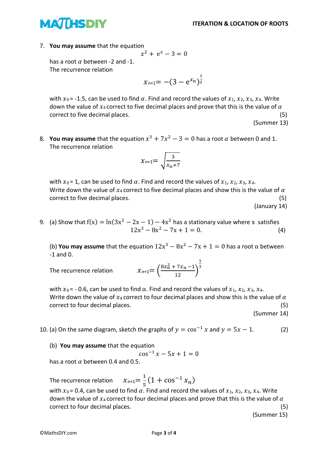

7. **You may assume** that the equation

$$
x^2 + e^x - 3 = 0
$$

has a root  $\alpha$  between -2 and -1. The recurrence relation

$$
x_{n+1} = -(3 - e^{x_n})^{\frac{1}{2}}
$$

with  $x_0$  = -1.5, can be used to find  $\alpha$ . Find and record the values of  $x_1, x_2, x_3, x_4$ . Write down the value of  $x_4$  correct to five decimal places and prove that this is the value of  $\alpha$ correct to five decimal places. (5)

(Summer 13)

8. You may assume that the equation  $x^3 + 7x^2 - 3 = 0$  has a root  $\alpha$  between 0 and 1. The recurrence relation

$$
\chi_{n+1} = \sqrt{\frac{3}{x_n+7}}
$$

with  $x_0 = 1$ , can be used to find  $\alpha$ . Find and record the values of  $x_1, x_2, x_3, x_4$ . Write down the value of  $x_4$  correct to five decimal places and show this is the value of  $\alpha$ correct to five decimal places. (5)

(January 14)

9. (a) Show that  $f(x) = ln(3x^2 - 2x - 1) - 4x^2$  has a stationary value where x satisfies 12x  $3 - 8x^2 - 7x + 1 = 0.$  (4)

(b) **You may assume** that the equation  $12x^3 - 8x^2 - 7x + 1 = 0$  has a root  $\alpha$  between -1 and 0.

The recurrence relation 
$$
x_{n+1} = \left(\frac{8x_n^2 + 7x_n - 1}{12}\right)^{\frac{1}{3}}
$$

with  $x_0$  = - 0.6, can be used to find  $\alpha$ . Find and record the values of  $x_1, x_2, x_3, x_4$ . Write down the value of  $x_4$  correct to four decimal places and show this is the value of  $\alpha$ correct to four decimal places. (5)

(Summer 14)

- 10. (a) On the same diagram, sketch the graphs of  $y = cos^{-1} x$  and  $y = 5x 1$ . (2)
	- (b) **You may assume** that the equation

$$
\cos^{-1} x - 5x + 1 = 0
$$

has a root  $\alpha$  between 0.4 and 0.5.

The recurrence relation 1  $\frac{1}{5}(1+\cos^{-1}x_n)$ with  $x_0$  = 0.4, can be used to find  $\alpha$ . Find and record the values of  $x_1, x_2, x_3, x_4$ . Write down the value of  $x_4$  correct to four decimal places and prove that this is the value of  $\alpha$ correct to four decimal places. (5)

(Summer 15)